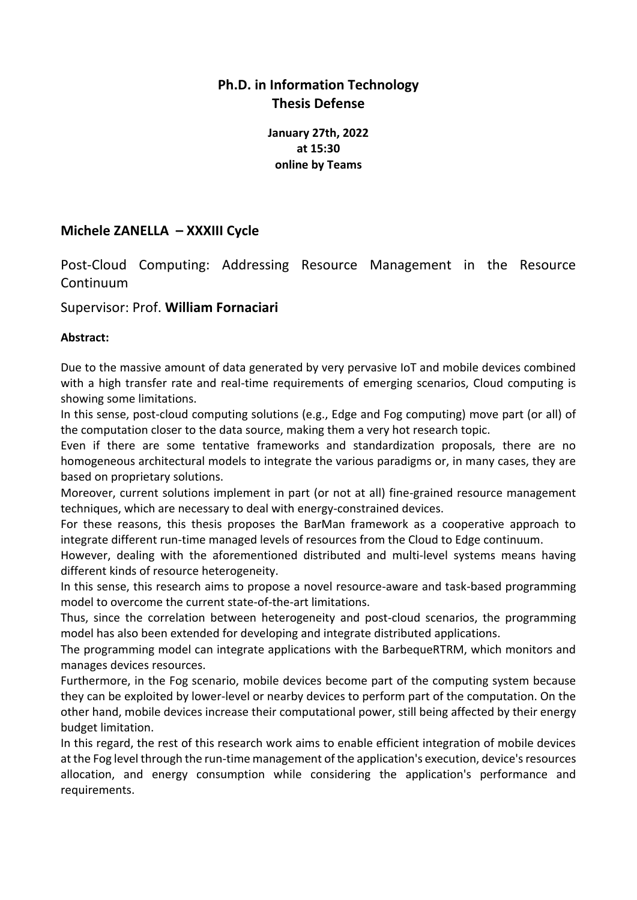## **Ph.D. in Information Technology Thesis Defense**

**January 27th, 2022 at 15:30 online by Teams**

## **Michele ZANELLA – XXXIII Cycle**

Post-Cloud Computing: Addressing Resource Management in the Resource Continuum

## Supervisor: Prof. **William Fornaciari**

## **Abstract:**

Due to the massive amount of data generated by very pervasive IoT and mobile devices combined with a high transfer rate and real-time requirements of emerging scenarios, Cloud computing is showing some limitations.

In this sense, post-cloud computing solutions (e.g., Edge and Fog computing) move part (or all) of the computation closer to the data source, making them a very hot research topic.

Even if there are some tentative frameworks and standardization proposals, there are no homogeneous architectural models to integrate the various paradigms or, in many cases, they are based on proprietary solutions.

Moreover, current solutions implement in part (or not at all) fine-grained resource management techniques, which are necessary to deal with energy-constrained devices.

For these reasons, this thesis proposes the BarMan framework as a cooperative approach to integrate different run-time managed levels of resources from the Cloud to Edge continuum.

However, dealing with the aforementioned distributed and multi-level systems means having different kinds of resource heterogeneity.

In this sense, this research aims to propose a novel resource-aware and task-based programming model to overcome the current state-of-the-art limitations.

Thus, since the correlation between heterogeneity and post-cloud scenarios, the programming model has also been extended for developing and integrate distributed applications.

The programming model can integrate applications with the BarbequeRTRM, which monitors and manages devices resources.

Furthermore, in the Fog scenario, mobile devices become part of the computing system because they can be exploited by lower-level or nearby devices to perform part of the computation. On the other hand, mobile devices increase their computational power, still being affected by their energy budget limitation.

In this regard, the rest of this research work aims to enable efficient integration of mobile devices at the Fog level through the run-time management of the application's execution, device's resources allocation, and energy consumption while considering the application's performance and requirements.